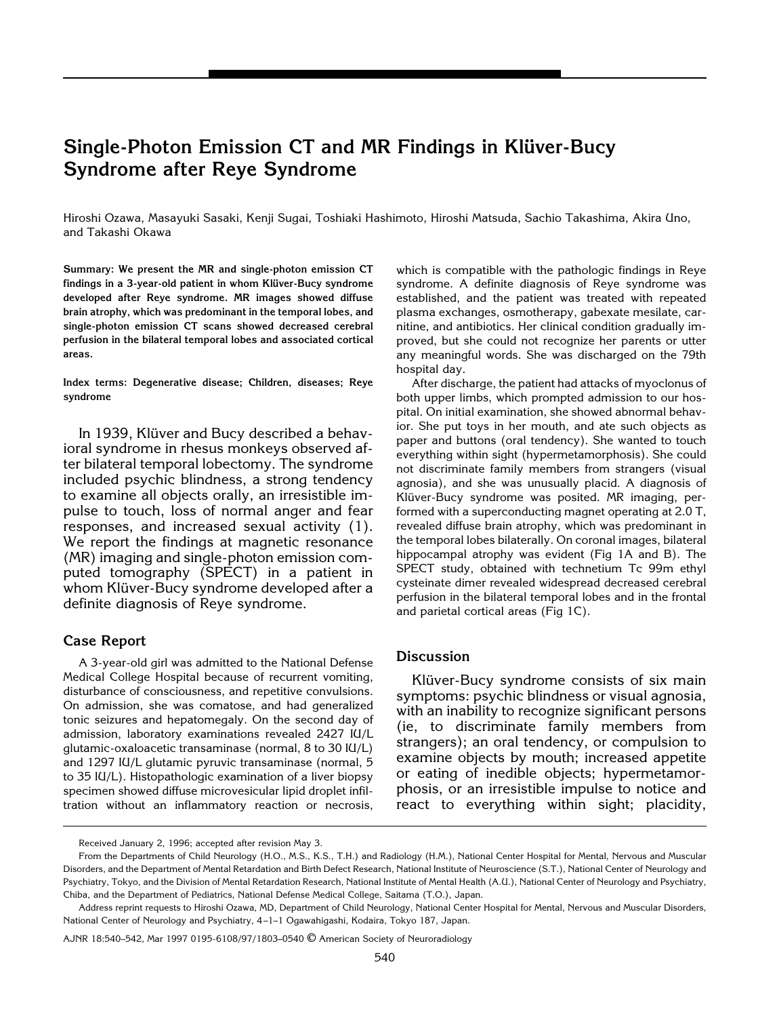# **Single-Photon Emission CT and MR Findings in Klüver-Bucy Syndrome after Reye Syndrome**

Hiroshi Ozawa, Masayuki Sasaki, Kenji Sugai, Toshiaki Hashimoto, Hiroshi Matsuda, Sachio Takashima, Akira Uno, and Takashi Okawa

**Summary: We present the MR and single-photon emission CT** findings in a 3-year-old patient in whom Klüver-Bucy syndrome **developed after Reye syndrome. MR images showed diffuse brain atrophy, which was predominant in the temporal lobes, and single-photon emission CT scans showed decreased cerebral perfusion in the bilateral temporal lobes and associated cortical areas.**

**Index terms: Degenerative disease; Children, diseases; Reye syndrome**

In 1939, Klüver and Bucy described a behavioral syndrome in rhesus monkeys observed after bilateral temporal lobectomy. The syndrome included psychic blindness, a strong tendency to examine all objects orally, an irresistible impulse to touch, loss of normal anger and fear responses, and increased sexual activity (1). We report the findings at magnetic resonance (MR) imaging and single-photon emission computed tomography (SPECT) in a patient in whom Klüver-Bucy syndrome developed after a definite diagnosis of Reye syndrome.

### **Case Report**

A 3-year-old girl was admitted to the National Defense Medical College Hospital because of recurrent vomiting, disturbance of consciousness, and repetitive convulsions. On admission, she was comatose, and had generalized tonic seizures and hepatomegaly. On the second day of admission, laboratory examinations revealed 2427 IU/L glutamic-oxaloacetic transaminase (normal, 8 to 30 IU/L) and 1297 IU/L glutamic pyruvic transaminase (normal, 5 to 35 IU/L). Histopathologic examination of a liver biopsy specimen showed diffuse microvesicular lipid droplet infiltration without an inflammatory reaction or necrosis,

which is compatible with the pathologic findings in Reye syndrome. A definite diagnosis of Reye syndrome was established, and the patient was treated with repeated plasma exchanges, osmotherapy, gabexate mesilate, carnitine, and antibiotics. Her clinical condition gradually improved, but she could not recognize her parents or utter any meaningful words. She was discharged on the 79th hospital day.

After discharge, the patient had attacks of myoclonus of both upper limbs, which prompted admission to our hospital. On initial examination, she showed abnormal behavior. She put toys in her mouth, and ate such objects as paper and buttons (oral tendency). She wanted to touch everything within sight (hypermetamorphosis). She could not discriminate family members from strangers (visual agnosia), and she was unusually placid. A diagnosis of Klüver-Bucy syndrome was posited. MR imaging, performed with a superconducting magnet operating at 2.0 T, revealed diffuse brain atrophy, which was predominant in the temporal lobes bilaterally. On coronal images, bilateral hippocampal atrophy was evident (Fig 1A and B). The SPECT study, obtained with technetium Tc 99m ethyl cysteinate dimer revealed widespread decreased cerebral perfusion in the bilateral temporal lobes and in the frontal and parietal cortical areas (Fig 1C).

### **Discussion**

Klüver-Bucy syndrome consists of six main symptoms: psychic blindness or visual agnosia, with an inability to recognize significant persons (ie, to discriminate family members from strangers); an oral tendency, or compulsion to examine objects by mouth; increased appetite or eating of inedible objects; hypermetamorphosis, or an irresistible impulse to notice and react to everything within sight; placidity,

Received January 2, 1996; accepted after revision May 3.

From the Departments of Child Neurology (H.O., M.S., K.S., T.H.) and Radiology (H.M.), National Center Hospital for Mental, Nervous and Muscular Disorders, and the Department of Mental Retardation and Birth Defect Research, National Institute of Neuroscience (S.T.), National Center of Neurology and Psychiatry, Tokyo, and the Division of Mental Retardation Research, National Institute of Mental Health (A.U.), National Center of Neurology and Psychiatry, Chiba, and the Department of Pediatrics, National Defense Medical College, Saitama (T.O.), Japan.

Address reprint requests to Hiroshi Ozawa, MD, Department of Child Neurology, National Center Hospital for Mental, Nervous and Muscular Disorders, National Center of Neurology and Psychiatry, 4 –1–1 Ogawahigashi, Kodaira, Tokyo 187, Japan.

AJNR 18:540–542, Mar 1997 0195-6108/97/1803–0540 © American Society of Neuroradiology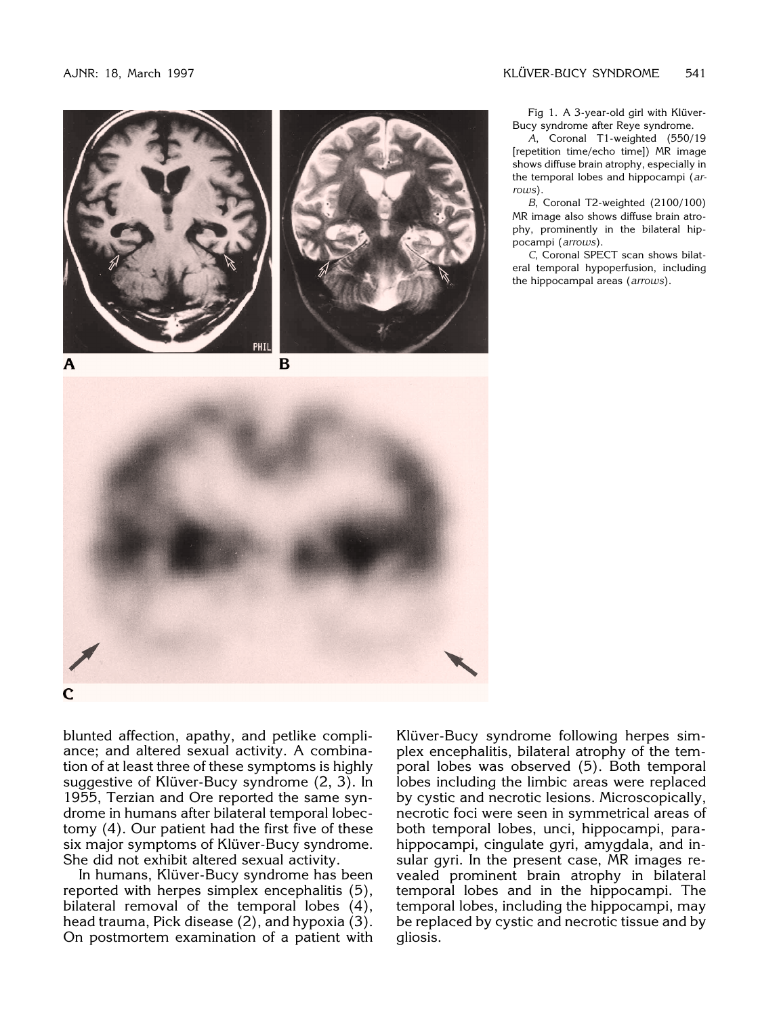



A









blunted affection, apathy, and petlike compliance; and altered sexual activity. A combination of at least three of these symptoms is highly suggestive of Klüver-Bucy syndrome (2, 3). In

1955, Terzian and Ore reported the same syndrome in humans after bilateral temporal lobectomy (4). Our patient had the first five of these six major symptoms of Klüver-Bucy syndrome. She did not exhibit altered sexual activity.

In humans, Klüver-Bucy syndrome has been reported with herpes simplex encephalitis (5), bilateral removal of the temporal lobes (4), head trauma, Pick disease (2), and hypoxia (3). On postmortem examination of a patient with

Klüver-Bucy syndrome following herpes simplex encephalitis, bilateral atrophy of the temporal lobes was observed (5). Both temporal lobes including the limbic areas were replaced by cystic and necrotic lesions. Microscopically, necrotic foci were seen in symmetrical areas of both temporal lobes, unci, hippocampi, parahippocampi, cingulate gyri, amygdala, and insular gyri. In the present case, MR images revealed prominent brain atrophy in bilateral temporal lobes and in the hippocampi. The temporal lobes, including the hippocampi, may be replaced by cystic and necrotic tissue and by gliosis.

Fig 1. A 3-year-old girl with Klüver-Bucy syndrome after Reye syndrome.

*A*, Coronal T1-weighted (550/19 [repetition time/echo time]) MR image shows diffuse brain atrophy, especially in the temporal lobes and hippocampi (*arrows*).

*B*, Coronal T2-weighted (2100/100) MR image also shows diffuse brain atrophy, prominently in the bilateral hippocampi (*arrows*).

*C*, Coronal SPECT scan shows bilateral temporal hypoperfusion, including the hippocampal areas (*arrows*).